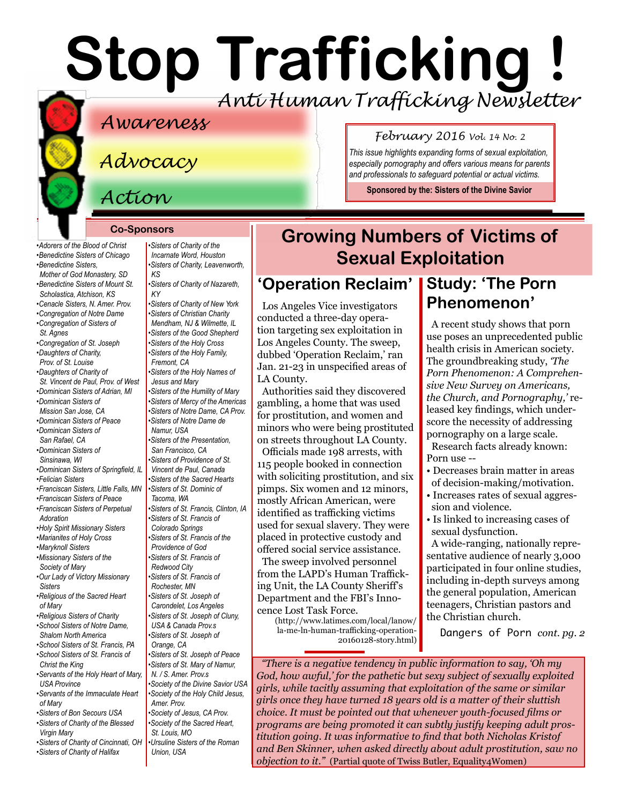# **Stop Trafficking !** *Anti Human Trafficking Newsletter*

### *Awareness*

*Advocacy*

### *Action*

#### **Co-Sponsors**

*[•Sisters of Charity of the](http://www.sistersofcharity.org/)* 

*[•Adorers of the Blood of Christ](http://www.adorers.org/)  [•Benedictine Sisters of Chicago](http://www.osbchicago.org/index.htm)  [•Benedictine Sisters,](http://watertownbenedictines.org/)  [Mother of God Monastery, SD](http://watertownbenedictines.org/)* 

- *[•Benedictine Sisters of Mount St.](http://www.mountosb.org/)  [Scholastica,](http://www.mountosb.org/) Atchison, KS*
- *[•Cenacle Sisters, N. Amer. Prov.](http://www.cenaclesisters.org/)*
- *[•Congregation of Notre Dame](http://www.cnd-m.org/en/justice/index.php)  [•Congregation of Sisters of](http://www.csasisters.org/)*
- *[St. Agnes](http://www.csasisters.org/)  [•Congregation of St. Joseph](http://www.scjoseph.org)*

*[•Daughters of Charity,](http://www.thedaughtersofcharity.org/)  [Prov. of St. Louise](http://www.thedaughtersofcharity.org/)* 

- *[•Daughters of Charity of](http://www.daughtersofcharity.com)  [St. Vincent de Paul, Prov. of West](http://www.daughtersofcharity.com)*
- *[•Dominican Sisters of Adrian, MI](http://www.adriandominicans.org/)*
- *[•Dominican Sisters of](https://www.msjdominicans.org/)  [Mission San Jose, CA](https://www.msjdominicans.org/)*
- *[•Dominican Sisters of Peace](http://www.oppeace.org)  [•Dominican Sisters of](http://www.sanrafaelop.org/)*
- *[San Rafael, CA](http://www.sanrafaelop.org/)*
- *[•Dominican Sisters of](http://www.sinsinawa.org/)  [Sinsinawa, WI](http://www.sinsinawa.org/)*
- *[•Dominican Sisters of Springfield, IL](http://springfieldop.org/)*
- *[•Felician Sisters](http://feliciansisters.org/)*
- *[•Franciscan Sisters, Little Falls, MN](http://www.fslf.org/)*
- *[•Franciscan Sisters of Peace](https://sites.google.com/site/fspnet2/home)  [•Franciscan Sisters of Perpetual](http://www.fspa.org/content/ministries/justice-peace/partnerships)*
- *[Adoration](http://www.fspa.org/content/ministries/justice-peace/partnerships) [•Holy Spirit Missionary Sisters](http://www.ssps-usa.org)*
- *[•Marianites of Holy Cross](http://www.marianites.org/)*
- *[•Maryknoll Sisters](https://www.maryknollsisters.org/)*
- *[•Missionary Sisters of the](http://www.maristmissionarysmsm.org/)  [Society of Mary](http://www.maristmissionarysmsm.org/)*
- *[•Our Lady of Victory Missionary](http://www.olvm.org)  [Sisters](http://www.olvm.org) [•Religious of the Sacred Heart](http://www.rshm.org/)*
- *[of Mary](http://www.rshm.org/)*
- *[•Religious Sisters of Charity](http://www.rsccaritas.ie/)  [•School Sisters of Notre Dame,](http://www.ssnd.org)  [Shalom North America](http://www.ssnd.org)*
- *[•School Sisters of St. Francis, PA](http://www.schoolsistersosf.org/)  [•School Sisters of St. Francis of](http://www.lemontfranciscans.org)*
- *[Christ the King](http://www.lemontfranciscans.org) [•Servants of the Holy Heart of Mary,](http://www.sscm-usa.org/)*
- *[USA Province](http://www.sscm-usa.org/) [•Servants of the Immaculate Heart](http://www.ihmimmaculata.org/)*
- *[of Mary](http://www.ihmimmaculata.org/)  [•Sisters of Bon Secours USA](http://bonsecours.org/us/)*
- *[•Sisters of Charity of the Blessed](http://www.bvmcong.org/)  [Virgin Mary](http://www.bvmcong.org/)*
- *[•Sisters of Charity of Cincinnati, OH](http://www.srcharitycinti.org/)*
- *[•Sisters of Charity of Halifax](http://www.schalifax.ca/)*

*[Incarnate Word, Houston](http://www.sistersofcharity.org/)  [•Sisters of Charity, Leavenworth,](http://www.scls.org/)  [KS](http://www.scls.org/) [•Sisters of Charity of Nazareth,](http://www.scnfamily.org/)  [KY](http://www.scnfamily.org/)  [•Sisters of Charity of New York](http://scny.org/)  •Sisters of Christian Charity [Mendham, NJ](http://www.scceast.org) [& Wilmette, IL](http://www.sccwilmette.org)  [•Sisters of the Good Shepherd](http://www.goodshepherdsistersna.com/en/Home.aspx)  [•Sisters of the Holy Cross](http://www.cscsisters.org/)  [•Sisters of the Holy Family,](http://www.holyfamilysisters.org/)  [Fremont, CA](http://www.holyfamilysisters.org/)  [•Sisters of the Holy Names of](http://www.snjm.org/index)  [Jesus and Mary](http://www.snjm.org/index) [•Sisters of the Humility of Mary](http://www.humilityofmary.org/)  [•Sisters of Mercy of the Americas](http://www.sistersofmercy.org/) [•Sisters of Notre Dame, CA Prov.](http://www.sndca.org/)  [•Sisters of Notre Dame de](www.sndden.org/index.html)  [Namur, USA](www.sndden.org/index.html)  [•Sisters of the Presentation,](http://www.presentationsisterssf.org/)  [San Francisco, CA](http://www.presentationsisterssf.org/)  [•Sisters of Providence of St.](http://www.providence.ca)  [Vincent de Paul, Canada](http://www.providence.ca)  [•Sisters of the Sacred Hearts](http://www.sistersofthesacredhearts.org)  [•Sisters of St. Dominic of](https://www.tacomaop.org/)  [Tacoma, WA](https://www.tacomaop.org/) [•Sisters of St. Francis, Clinton, IA](http://www.clintonfranciscans.com/)  [•Sisters of St. Francis of](http://stfrancis.org/)  [Colorado Springs](http://stfrancis.org/)  [•Sisters of St. Francis of the](http://www.osfprov.org/)  [Providence of God](http://www.osfprov.org/)  [•Sisters of St. Francis of](http://www.franciscanway.org/stfrancisprovince.html)  [Redwood City](http://www.franciscanway.org/stfrancisprovince.html)  [•Sisters of St. Francis of](http://www.rochesterfranciscan.org/)  [Rochester, MN](http://www.rochesterfranciscan.org/)  [•Sisters of St. Joseph of](http://www.csjla.org)  [Carondelet, Los Angeles](http://www.csjla.org)  [•Sisters of St. Joseph of Cluny,](http://www.clunyusandcanada.org/)  [USA & Canada Prov.s](http://www.clunyusandcanada.org/)  [•Sisters of St. Joseph of](http://csjorange.org/)  [Orange, CA](http://csjorange.org/)  [•Sisters of St. Joseph of Peace](http://www.csjp.org/)  [•Sisters of St. Mary of Namur,](http://www.ssmn-e.com)  [N. / S. Amer. Prov.s](http://www.ssmn-e.com)  [•Society of the Divine Savior USA](http://www.salvatorians.com/)  [•Society of the Holy Child Jesus,](http://www.shcj.org/american)  [Amer. Prov.](http://www.shcj.org/american)  [•Society of Jesus, CA Prov.](http://www.jesuitscalifornia.org/)  [•Society of the Sacred Heart,](https://rscj.org/)  [St. Louis, MO](https://rscj.org/)  [•Ursuline Sisters of the Roman](http://usaromanunionursulines.org/)* 

*[Union, USA](http://usaromanunionursulines.org/)*

## **Growing Numbers of Victims of Sexual Exploitation**

*February 2016 Vol. 14 No. 2 This issue highlights expanding forms of sexual exploitation, especially pornography and offers various means for parents and professionals to safeguard potential or actual victims.* **Sponsored by the: [Sisters of the Divine Savior](http://www.sistersofthedivinesavior.org)**

### **'Operation Reclaim' Study: 'The Porn**

Los Angeles Vice investigators conducted a three-day operation targeting sex exploitation in Los Angeles County. The sweep, dubbed 'Operation Reclaim,' ran Jan. 21-23 in unspecified areas of LA County.

Authorities said they discovered gambling, a home that was used for prostitution, and women and minors who were being prostituted on streets throughout LA County. Officials made 198 arrests, with 115 people booked in connection with soliciting prostitution, and six pimps. Six women and 12 minors, mostly African American, were identified as trafficking victims used for sexual slavery. They were placed in protective custody and offered social service assistance. The sweep involved personnel from the LAPD's Human Trafficking Unit, the LA County Sheriff's Department and the FBI's Innocence Lost Task Force.

([http://www.latimes.com/local/lanow/](http://www.latimes.com/local/lanow/la-me-ln-human-trafficking-operation-20160128-story.htm) [la-me-ln-human-trafficking-operation-](http://www.latimes.com/local/lanow/la-me-ln-human-trafficking-operation-20160128-story.htm)[20160128-story.htm](http://www.latimes.com/local/lanow/la-me-ln-human-trafficking-operation-20160128-story.htm)l)

# **Phenomenon'**

A recent study shows that porn use poses an unprecedented public health crisis in American society. The groundbreaking study, *'The Porn Phenomenon: A Comprehensive New Survey on Americans, the Church, and Pornography,'* released key findings, which underscore the necessity of addressing pornography on a large scale.

Research facts already known: Porn use --

- Decreases brain matter in areas of decision-making/motivation.
- Increases rates of sexual aggression and violence.
- Is linked to increasing cases of sexual dysfunction.

A wide-ranging, nationally representative audience of nearly 3,000 participated in four online studies, including in-depth surveys among the general population, American teenagers, Christian pastors and the Christian church.

Dangers of Porn *cont. pg. 2*

*"There is a negative tendency in public information to say, 'Oh my God, how awful,' for the pathetic but sexy subject of sexually exploited girls, while tacitly assuming that exploitation of the same or similar girls once they have turned 18 years old is a matter of their sluttish choice. It must be pointed out that whenever youth-focused films or programs are being promoted it can subtly justify keeping adult prostitution going. It was informative to find that both Nicholas Kristof and Ben Skinner, when asked directly about adult prostitution, saw no objection to it."* (Partial quote of Twiss Butler, Equality4Women)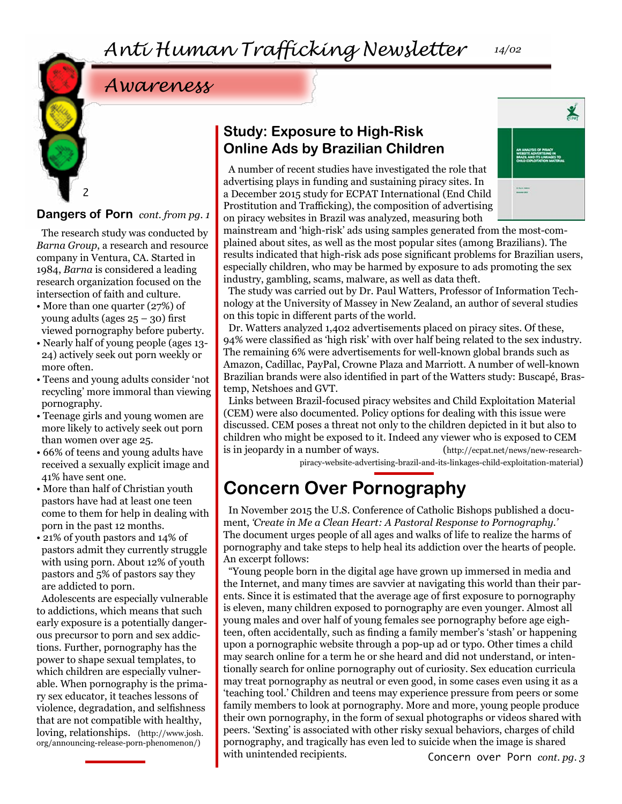*Awareness*

#### **Dangers of Porn** *cont. from pg. 1*

2

The research study was conducted by *Barna Group*, a research and resource company in Ventura, CA. Started in 1984, *Barna* is considered a leading research organization focused on the intersection of faith and culture.

- More than one quarter (27%) of young adults (ages  $25 - 30$ ) first viewed pornography before puberty.
- Nearly half of young people (ages 13- 24) actively seek out porn weekly or more often.
- Teens and young adults consider 'not recycling' more immoral than viewing pornography.
- Teenage girls and young women are more likely to actively seek out porn than women over age 25.
- 66% of teens and young adults have received a sexually explicit image and 41% have sent one.
- More than half of Christian youth pastors have had at least one teen come to them for help in dealing with porn in the past 12 months.
- 21% of youth pastors and 14% of pastors admit they currently struggle with using porn. About 12% of youth pastors and 5% of pastors say they are addicted to porn.

Adolescents are especially vulnerable to addictions, which means that such early exposure is a potentially dangerous precursor to porn and sex addictions. Further, pornography has the power to shape sexual templates, to which children are especially vulnerable. When pornography is the primary sex educator, it teaches lessons of violence, degradation, and selfishness that are not compatible with healthy, loving, relationships. ([http://www.josh.](http://www.josh.org/announcing-release-porn-phenomenon/) [org/announcing-release-porn-phenomenon/](http://www.josh.org/announcing-release-porn-phenomenon/))

### **Study: Exposure to High-Risk Online Ads by Brazilian Children**

A number of recent studies have investigated the role that advertising plays in funding and sustaining piracy sites. In a December 2015 study for ECPAT International (End Child Prostitution and Trafficking), the composition of advertising on piracy websites in Brazil was analyzed, measuring both



mainstream and 'high-risk' ads using samples generated from the most-complained about sites, as well as the most popular sites (among Brazilians). The results indicated that high-risk ads pose significant problems for Brazilian users, especially children, who may be harmed by exposure to ads promoting the sex industry, gambling, scams, malware, as well as data theft.

The study was carried out by Dr. Paul Watters, Professor of Information Technology at the University of Massey in New Zealand, an author of several studies on this topic in different parts of the world.

Dr. Watters analyzed 1,402 advertisements placed on piracy sites. Of these, 94% were classified as 'high risk' with over half being related to the sex industry. The remaining 6% were advertisements for well-known global brands such as Amazon, Cadillac, PayPal, Crowne Plaza and Marriott. A number of well-known Brazilian brands were also identified in part of the Watters study: Buscapé, Brastemp, Netshoes and GVT.

Links between Brazil-focused piracy websites and Child Exploitation Material (CEM) were also documented. Policy options for dealing with this issue were discussed. CEM poses a threat not only to the children depicted in it but also to children who might be exposed to it. Indeed any viewer who is exposed to CEM is in jeopardy in a number of ways. ([http://ecpat.net/news/new-research-](http://ecpat.net/news/new-research-piracy-website-advertising-brazil-and-its-linkages-child-exploit)

 [piracy-website-advertising-brazil-and-its-linkages-child-exploitation-material](http://ecpat.net/news/new-research-piracy-website-advertising-brazil-and-its-linkages-child-exploit))

## **Concern Over Pornography**

In November 2015 the U.S. Conference of Catholic Bishops published a document, *'Create in Me a Clean Heart: A Pastoral Response to Pornography.'*  The document urges people of all ages and walks of life to realize the harms of pornography and take steps to help heal its addiction over the hearts of people. An excerpt follows:

"Young people born in the digital age have grown up immersed in media and the Internet, and many times are savvier at navigating this world than their parents. Since it is estimated that the average age of first exposure to pornography is eleven, many children exposed to pornography are even younger. Almost all young males and over half of young females see pornography before age eighteen, often accidentally, such as finding a family member's 'stash' or happening upon a pornographic website through a pop-up ad or typo. Other times a child may search online for a term he or she heard and did not understand, or intentionally search for online pornography out of curiosity. Sex education curricula may treat pornography as neutral or even good, in some cases even using it as a 'teaching tool.' Children and teens may experience pressure from peers or some family members to look at pornography. More and more, young people produce their own pornography, in the form of sexual photographs or videos shared with peers. 'Sexting' is associated with other risky sexual behaviors, charges of child pornography, and tragically has even led to suicide when the image is shared with unintended recipients.<br>Concern over Porn *cont. pg. 3*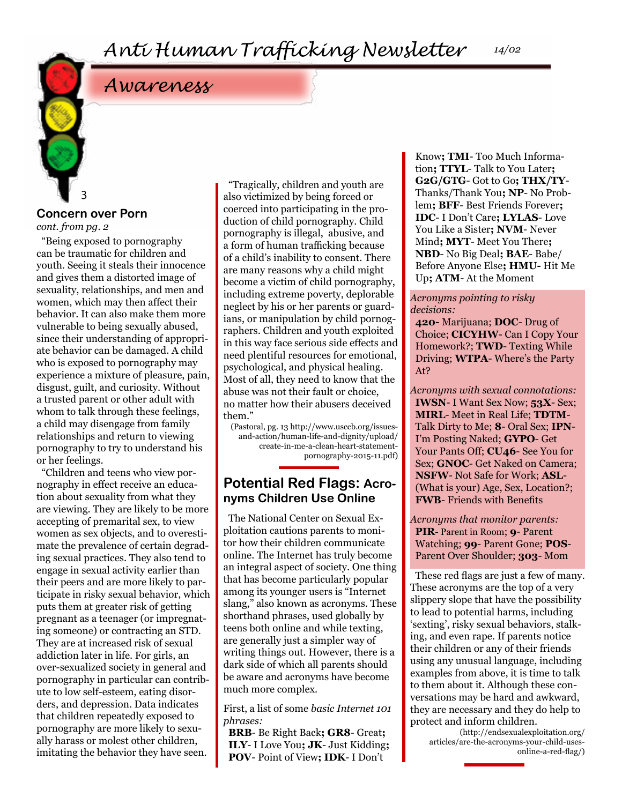# *Awareness*

#### **Concern over Porn** *cont. from pg. 2*

3

"Being exposed to pornography can be traumatic for children and youth. Seeing it steals their innocence and gives them a distorted image of sexuality, relationships, and men and women, which may then affect their behavior. It can also make them more vulnerable to being sexually abused, since their understanding of appropriate behavior can be damaged. A child who is exposed to pornography may experience a mixture of pleasure, pain, disgust, guilt, and curiosity. Without a trusted parent or other adult with whom to talk through these feelings, a child may disengage from family relationships and return to viewing pornography to try to understand his or her feelings.

"Children and teens who view pornography in effect receive an education about sexuality from what they are viewing. They are likely to be more accepting of premarital sex, to view women as sex objects, and to overestimate the prevalence of certain degrading sexual practices. They also tend to engage in sexual activity earlier than their peers and are more likely to participate in risky sexual behavior, which puts them at greater risk of getting pregnant as a teenager (or impregnating someone) or contracting an STD. They are at increased risk of sexual addiction later in life. For girls, an over-sexualized society in general and pornography in particular can contribute to low self-esteem, eating disorders, and depression. Data indicates that children repeatedly exposed to pornography are more likely to sexually harass or molest other children, imitating the behavior they have seen.

"Tragically, children and youth are also victimized by being forced or coerced into participating in the production of child pornography. Child pornography is illegal, abusive, and a form of human trafficking because of a child's inability to consent. There are many reasons why a child might become a victim of child pornography, including extreme poverty, deplorable neglect by his or her parents or guardians, or manipulation by child pornographers. Children and youth exploited in this way face serious side effects and need plentiful resources for emotional, psychological, and physical healing. Most of all, they need to know that the abuse was not their fault or choice, no matter how their abusers deceived them."

(Pastoral, pg. 13 [http://www.usccb.org/issues](http://www.usccb.org/issues-and-action/human-life-and-dignity/upload/create-in-me-a-clean-heart-stat)[and-action/human-life-and-dignity/upload/](http://www.usccb.org/issues-and-action/human-life-and-dignity/upload/create-in-me-a-clean-heart-stat) [create-in-me-a-clean-heart-statement](http://www.usccb.org/issues-and-action/human-life-and-dignity/upload/create-in-me-a-clean-heart-stat)[pornography-2015-11.pd](http://www.usccb.org/issues-and-action/human-life-and-dignity/upload/create-in-me-a-clean-heart-stat)f)

#### **Potential Red Flags: Acronyms Children Use Online**

The National Center on Sexual Exploitation cautions parents to monitor how their children communicate online. The Internet has truly become an integral aspect of society. One thing that has become particularly popular among its younger users is "Internet slang," also known as acronyms. These shorthand phrases, used globally by teens both online and while texting, are generally just a simpler way of writing things out. However, there is a dark side of which all parents should be aware and acronyms have become much more complex.

First, a list of some *basic Internet 101 phrases:*

**BRB**- Be Right Back**; GR8**- Great**; ILY**- I Love You**; JK**- Just Kidding**; POV**- Point of View**; IDK**- I Don't

Know**; TMI**- Too Much Information**; TTYL**- Talk to You Later**; G2G/GTG**- Got to Go**; THX/TY**-Thanks/Thank You**; NP**- No Problem**; BFF**- Best Friends Forever**; IDC**- I Don't Care**; LYLAS**- Love You Like a Sister**; NVM**- Never Mind**; MYT**- Meet You There**; NBD**- No Big Deal**; BAE**- Babe/ Before Anyone Else**; HMU-** Hit Me Up**; ATM**- At the Moment

#### *Acronyms pointing to risky decisions:*

**420-** Marijuana; **DOC**- Drug of Choice; **CICYHW**- Can I Copy Your Homework?; **TWD**- Texting While Driving; **WTPA**- Where's the Party At?

*Acronyms with sexual connotations:* **IWSN**- I Want Sex Now; **53X**- Sex; **MIRL**- Meet in Real Life; **TDTM**-Talk Dirty to Me; **8**- Oral Sex; **IPN**-I'm Posting Naked; **GYPO**- Get Your Pants Off; **CU46**- See You for Sex; **GNOC**- Get Naked on Camera; **NSFW**- Not Safe for Work; **ASL**- (What is your) Age, Sex, Location?; **FWB**- Friends with Benefits

#### *Acronyms that monitor parents:* **PIR**- Parent in Room; **9**- Parent Watching; **99**- Parent Gone; **POS**-Parent Over Shoulder; **303**- Mom

These red flags are just a few of many. These acronyms are the top of a very slippery slope that have the possibility to lead to potential harms, including 'sexting', risky sexual behaviors, stalking, and even rape. If parents notice their children or any of their friends using any unusual language, including examples from above, it is time to talk to them about it. Although these conversations may be hard and awkward, they are necessary and they do help to protect and inform children.

([http://endsexualexploitation.org/](http://endsexualexploitation.org/articles/are-the-acronyms-your-child-uses-online-a-red-flag/) [articles/are-the-acronyms-your-child-uses](http://endsexualexploitation.org/articles/are-the-acronyms-your-child-uses-online-a-red-flag/)[online-a-red-flag/](http://endsexualexploitation.org/articles/are-the-acronyms-your-child-uses-online-a-red-flag/))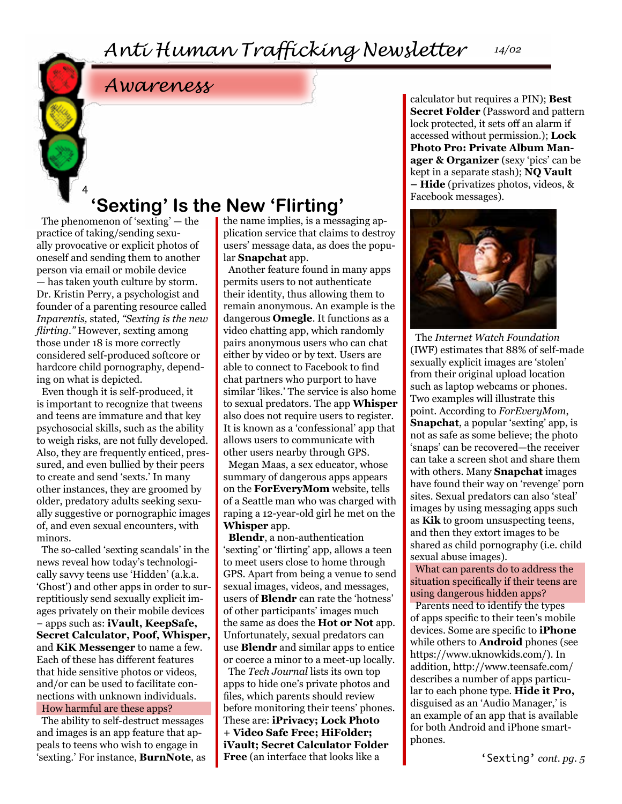*Anti Human Trafficking Newsletter 14/02*

# *Awareness*

# **'Sexting' Is the New 'Flirting'**

The phenomenon of 'sexting' — the practice of taking/sending sexually provocative or explicit photos of oneself and sending them to another person via email or mobile device — has taken youth culture by storm. Dr. Kristin Perry, a psychologist and founder of a parenting resource called *Inparentis,* stated*, "Sexting is the new flirting."* However, sexting among those under 18 is more correctly considered self-produced softcore or hardcore child pornography, depending on what is depicted.

4

Even though it is self-produced, it is important to recognize that tweens and teens are immature and that key psychosocial skills, such as the ability to weigh risks, are not fully developed. Also, they are frequently enticed, pressured, and even bullied by their peers to create and send 'sexts.' In many other instances, they are groomed by older, predatory adults seeking sexually suggestive or pornographic images of, and even sexual encounters, with minors.

The so-called 'sexting scandals' in the news reveal how today's technologically savvy teens use 'Hidden' (a.k.a. 'Ghost') and other apps in order to surreptitiously send sexually explicit images privately on their mobile devices − apps such as: **iVault, KeepSafe, Secret Calculator, Poof, Whisper,**  and **KiK Messenger** to name a few. Each of these has different features that hide sensitive photos or videos, and/or can be used to facilitate connections with unknown individuals.

How harmful are these apps?

The ability to self-destruct messages and images is an app feature that appeals to teens who wish to engage in 'sexting.' For instance, **BurnNote**, as the name implies, is a messaging application service that claims to destroy users' message data, as does the popular **Snapchat** app.

Another feature found in many apps permits users to not authenticate their identity, thus allowing them to remain anonymous. An example is the dangerous **Omegle**. It functions as a video chatting app, which randomly pairs anonymous users who can chat either by video or by text. Users are able to connect to Facebook to find chat partners who purport to have similar 'likes.' The service is also home to sexual predators. The app **Whisper** also does not require users to register. It is known as a 'confessional' app that allows users to communicate with other users nearby through GPS.

Megan Maas, a sex educator, whose summary of dangerous apps appears on the **ForEveryMom** website, tells of a Seattle man who was charged with raping a 12-year-old girl he met on the **Whisper** app.

**Blendr**, a non-authentication 'sexting' or 'flirting' app, allows a teen to meet users close to home through GPS. Apart from being a venue to send sexual images, videos, and messages, users of **Blendr** can rate the 'hotness' of other participants' images much the same as does the **Hot or Not** app. Unfortunately, sexual predators can use **Blendr** and similar apps to entice or coerce a minor to a meet-up locally.

The *Tech Journal* lists its own top apps to hide one's private photos and files, which parents should review before monitoring their teens' phones. These are: **iPrivacy; Lock Photo + Video Safe Free; HiFolder; iVault; Secret Calculator Folder Free** (an interface that looks like a

calculator but requires a PIN); **Best Secret Folder** (Password and pattern lock protected, it sets off an alarm if accessed without permission.); **Lock Photo Pro: Private Album Manager & Organizer** (sexy 'pics' can be kept in a separate stash); **NQ Vault – Hide** (privatizes photos, videos, & Facebook messages).



The *Internet Watch Foundation*  (IWF) estimates that 88% of self-made sexually explicit images are 'stolen' from their original upload location such as laptop webcams or phones. Two examples will illustrate this point. According to *ForEveryMom*, **Snapchat**, a popular 'sexting' app, is not as safe as some believe; the photo 'snaps' can be recovered—the receiver can take a screen shot and share them with others. Many **Snapchat** images have found their way on 'revenge' porn sites. Sexual predators can also 'steal' images by using messaging apps such as **Kik** to groom unsuspecting teens, and then they extort images to be shared as child pornography (i.e. child sexual abuse images).

What can parents do to address the situation specifically if their teens are using dangerous hidden apps? Parents need to identify the types of apps specific to their teen's mobile devices. Some are specific to **iPhone** while others to **Android** phones (see <https://www.uknowkids.com/>). In addition, [http://www.teensafe.com/](http://www.teensafe.com/ )  describes a number of apps particular to each phone type. **Hide it Pro,** disguised as an 'Audio Manager,' is an example of an app that is available for both Android and iPhone smartphones.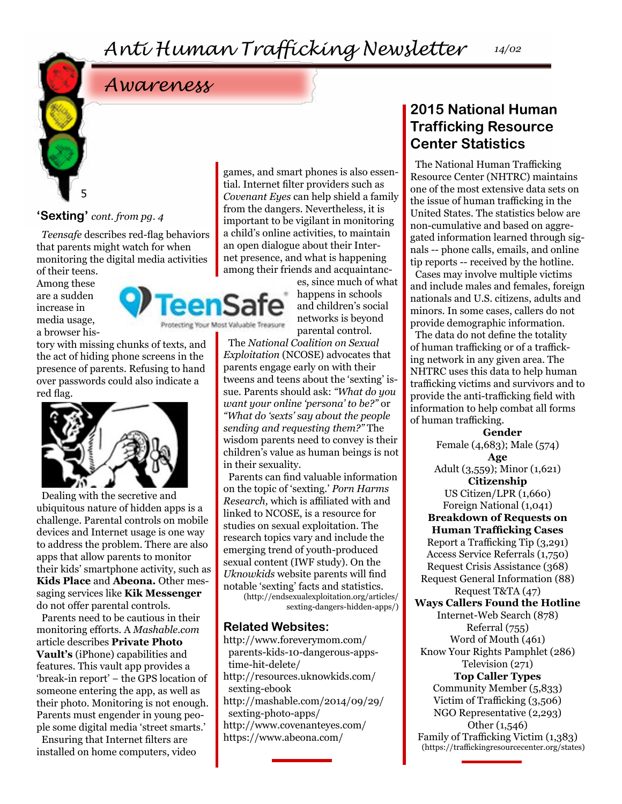# *Anti Human Trafficking Newsletter 14/02*

*Awareness*

#### **'Sexting'** *cont. from pg. 4*

5

*Teensafe* describes red-flag behaviors that parents might watch for when monitoring the digital media activities

of their teens. Among these are a sudden increase in media usage, a browser his-



tory with missing chunks of texts, and the act of hiding phone screens in the presence of parents. Refusing to hand over passwords could also indicate a red flag.



Dealing with the secretive and ubiquitous nature of hidden apps is a challenge. Parental controls on mobile devices and Internet usage is one way to address the problem. There are also apps that allow parents to monitor their kids' smartphone activity, such as **Kids Place** and **Abeona.** Other messaging services like **Kik Messenger** do not offer parental controls.

Parents need to be cautious in their monitoring efforts. A *Mashable.com* article describes **Private Photo Vault's** (iPhone) capabilities and features. This vault app provides a 'break-in report' − the GPS location of someone entering the app, as well as their photo. Monitoring is not enough. Parents must engender in young people some digital media 'street smarts.' Ensuring that Internet filters are

installed on home computers, video

games, and smart phones is also essential. Internet filter providers such as *Covenant Eyes* can help shield a family from the dangers. Nevertheless, it is important to be vigilant in monitoring a child's online activities, to maintain an open dialogue about their Internet presence, and what is happening among their friends and acquaintanc-

> es, since much of what happens in schools and children's social networks is beyond parental control.

The *National Coalition on Sexual Exploitation* (NCOSE) advocates that parents engage early on with their tweens and teens about the 'sexting' issue. Parents should ask: *"What do you want your online 'persona' to be?"* or *"What do 'sexts' say about the people sending and requesting them?"* The wisdom parents need to convey is their children's value as human beings is not in their sexuality.

Parents can find valuable information on the topic of 'sexting.' *Porn Harms Research,* which is affiliated with and linked to NCOSE, is a resource for studies on sexual exploitation. The research topics vary and include the emerging trend of youth-produced sexual content (IWF study). On the *Uknowkids* website parents will find notable 'sexting' facts and statistics. [\(http://endsexualexploitation.org/articles/](http://endsexualexploitation.org/articles/sexting-dangers-hidden-apps/)

[sexting-dangers-hidden-apps/\)](http://endsexualexploitation.org/articles/sexting-dangers-hidden-apps/)

#### **Related Websites:**

[http://www.foreverymom.com/](http://www.foreverymom.com/parents-kids-10-dangerous-apps-time-hit-delete/ ) [parents-kids-10-dangerous-apps](http://www.foreverymom.com/parents-kids-10-dangerous-apps-time-hit-delete/ )[time-hit-delete/](http://www.foreverymom.com/parents-kids-10-dangerous-apps-time-hit-delete/ )

[http://resources.uknowkids.com/](http://resources.uknowkids.com/sexting-ebook ) [sexting-ebook](http://resources.uknowkids.com/sexting-ebook )

[http://mashable.com/2014/09/29/](http://mashable.com/2014/09/29/sexting-photo-apps/ ) [sexting-photo-apps/](http://mashable.com/2014/09/29/sexting-photo-apps/ )

[http://www.covenanteyes.com/](http://www.covenanteyes.com/ )

<https://www.abeona.com/>

### **2015 National Human Trafficking Resource Center Statistics**

The National Human Trafficking Resource Center (NHTRC) maintains one of the most extensive data sets on the issue of human trafficking in the United States. The statistics below are non-cumulative and based on aggregated information learned through signals -- phone calls, emails, and online tip reports -- received by the hotline. Cases may involve multiple victims and include males and females, foreign nationals and U.S. citizens, adults and minors. In some cases, callers do not provide demographic information. The data do not define the totality of human trafficking or of a trafficking network in any given area. The NHTRC uses this data to help human trafficking victims and survivors and to provide the anti-trafficking field with information to help combat all forms of human trafficking.

 **Gender** Female (4,683); Male (574) **Age**  Adult (3,559); Minor (1,621) **Citizenship**  US Citizen/LPR (1,660) Foreign National (1,041) **Breakdown of Requests on Human Trafficking Cases**  Report a Trafficking Tip (3,291) Access Service Referrals (1,750) Request Crisis Assistance (368) Request General Information (88) Request T&TA (47) **Ways Callers Found the Hotline**  Internet-Web Search (878) Referral (755) Word of Mouth (461) Know Your Rights Pamphlet (286) Television (271) **Top Caller Types**  Community Member (5,833) Victim of Trafficking (3,506) NGO Representative (2,293) Other (1,546) Family of Trafficking Victim (1,383) ([https://traffickingresourcecenter.org/states\)](https://traffickingresourcecenter.org/states)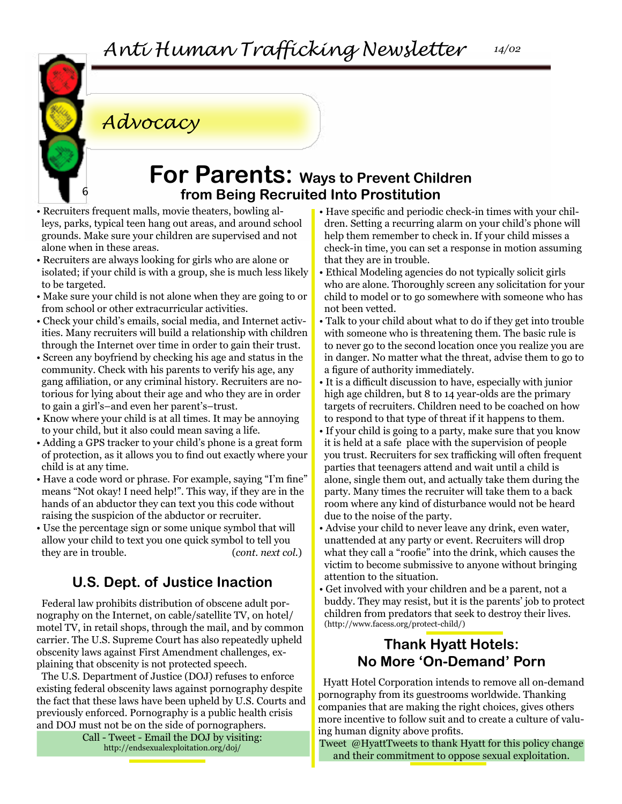# *Advocacy*

6

### **For Parents: Ways to Prevent Children from Being Recruited Into Prostitution**

- Recruiters frequent malls, movie theaters, bowling alleys, parks, typical teen hang out areas, and around school grounds. Make sure your children are supervised and not alone when in these areas.
- Recruiters are always looking for girls who are alone or isolated; if your child is with a group, she is much less likely to be targeted.
- Make sure your child is not alone when they are going to or from school or other extracurricular activities.
- Check your child's emails, social media, and Internet activities. Many recruiters will build a relationship with children through the Internet over time in order to gain their trust.
- Screen any boyfriend by checking his age and status in the community. Check with his parents to verify his age, any gang affiliation, or any criminal history. Recruiters are notorious for lying about their age and who they are in order to gain a girl's–and even her parent's–trust.
- Know where your child is at all times. It may be annoying to your child, but it also could mean saving a life.
- Adding a GPS tracker to your child's phone is a great form of protection, as it allows you to find out exactly where your child is at any time.
- Have a code word or phrase. For example, saying "I'm fine" means "Not okay! I need help!". This way, if they are in the hands of an abductor they can text you this code without raising the suspicion of the abductor or recruiter.
- Use the percentage sign or some unique symbol that will allow your child to text you one quick symbol to tell you they are in trouble. (*cont. next col.*)

### **U.S. Dept. of Justice Inaction**

Federal law prohibits distribution of obscene adult pornography on the Internet, on cable/satellite TV, on hotel/ motel TV, in retail shops, through the mail, and by common carrier. The U.S. Supreme Court has also repeatedly upheld obscenity laws against First Amendment challenges, explaining that obscenity is not protected speech.

The U.S. Department of Justice (DOJ) refuses to enforce existing federal obscenity laws against pornography despite the fact that these laws have been upheld by U.S. Courts and previously enforced. Pornography is a public health crisis and DOJ must not be on the side of pornographers.

> Call - Tweet - Email the DOJ by visiting: [http://endsexualexploitation.org/doj/](http://endsexualexploitation.org/doj/ )

- Have specific and periodic check-in times with your children. Setting a recurring alarm on your child's phone will help them remember to check in. If your child misses a check-in time, you can set a response in motion assuming that they are in trouble.
- Ethical Modeling agencies do not typically solicit girls who are alone. Thoroughly screen any solicitation for your child to model or to go somewhere with someone who has not been vetted.
- Talk to your child about what to do if they get into trouble with someone who is threatening them. The basic rule is to never go to the second location once you realize you are in danger. No matter what the threat, advise them to go to a figure of authority immediately.
- It is a difficult discussion to have, especially with junior high age children, but 8 to 14 year-olds are the primary targets of recruiters. Children need to be coached on how to respond to that type of threat if it happens to them.
- If your child is going to a party, make sure that you know it is held at a safe place with the supervision of people you trust. Recruiters for sex trafficking will often frequent parties that teenagers attend and wait until a child is alone, single them out, and actually take them during the party. Many times the recruiter will take them to a back room where any kind of disturbance would not be heard due to the noise of the party.
- Advise your child to never leave any drink, even water, unattended at any party or event. Recruiters will drop what they call a "roofie" into the drink, which causes the victim to become submissive to anyone without bringing attention to the situation.
- Get involved with your children and be a parent, not a buddy. They may resist, but it is the parents' job to protect children from predators that seek to destroy their lives. (<http://www.facess.org/protect-child/>)

### **Thank Hyatt Hotels: No More 'On-Demand' Porn**

Hyatt Hotel Corporation intends to remove all on-demand pornography from its guestrooms worldwide. Thanking companies that are making the right choices, gives others more incentive to follow suit and to create a culture of valuing human dignity above profits.

Tweet @HyattTweets to thank Hyatt for this policy change and their commitment to oppose sexual exploitation.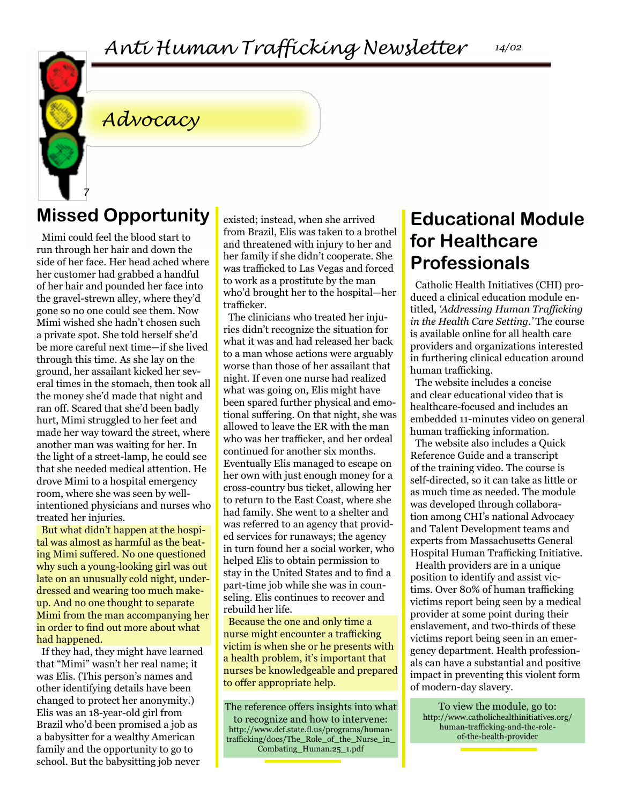

# *Advocacy*

# **Missed Opportunity**

Mimi could feel the blood start to run through her hair and down the side of her face. Her head ached where her customer had grabbed a handful of her hair and pounded her face into the gravel-strewn alley, where they'd gone so no one could see them. Now Mimi wished she hadn't chosen such a private spot. She told herself she'd be more careful next time—if she lived through this time. As she lay on the ground, her assailant kicked her several times in the stomach, then took all the money she'd made that night and ran off. Scared that she'd been badly hurt, Mimi struggled to her feet and made her way toward the street, where another man was waiting for her. In the light of a street-lamp, he could see that she needed medical attention. He drove Mimi to a hospital emergency room, where she was seen by wellintentioned physicians and nurses who treated her injuries.

But what didn't happen at the hospital was almost as harmful as the beating Mimi suffered. No one questioned why such a young-looking girl was out late on an unusually cold night, underdressed and wearing too much makeup. And no one thought to separate Mimi from the man accompanying her in order to find out more about what had happened.

If they had, they might have learned that "Mimi" wasn't her real name; it was Elis. (This person's names and other identifying details have been changed to protect her anonymity.) Elis was an 18-year-old girl from Brazil who'd been promised a job as a babysitter for a wealthy American family and the opportunity to go to school. But the babysitting job never

existed; instead, when she arrived from Brazil, Elis was taken to a brothel and threatened with injury to her and her family if she didn't cooperate. She was trafficked to Las Vegas and forced to work as a prostitute by the man who'd brought her to the hospital—her trafficker.

The clinicians who treated her injuries didn't recognize the situation for what it was and had released her back to a man whose actions were arguably worse than those of her assailant that night. If even one nurse had realized what was going on, Elis might have been spared further physical and emotional suffering. On that night, she was allowed to leave the ER with the man who was her trafficker, and her ordeal continued for another six months. Eventually Elis managed to escape on her own with just enough money for a cross-country bus ticket, allowing her to return to the East Coast, where she had family. She went to a shelter and was referred to an agency that provided services for runaways; the agency in turn found her a social worker, who helped Elis to obtain permission to stay in the United States and to find a part-time job while she was in counseling. Elis continues to recover and rebuild her life.

Because the one and only time a nurse might encounter a trafficking victim is when she or he presents with a health problem, it's important that nurses be knowledgeable and prepared to offer appropriate help.

The reference offers insights into what to recognize and how to intervene: [http://www.dcf.state.fl.us/programs/human](http://www.dcf.state.fl.us/programs/humantrafficking/docs/The_Role_of_the_Nurse_in_Combating_Human.25_1.pdf)[trafficking/docs/The\\_Role\\_of\\_the\\_Nurse\\_in\\_](http://www.dcf.state.fl.us/programs/humantrafficking/docs/The_Role_of_the_Nurse_in_Combating_Human.25_1.pdf) [Combating\\_Human.25\\_1.pdf](http://www.dcf.state.fl.us/programs/humantrafficking/docs/The_Role_of_the_Nurse_in_Combating_Human.25_1.pdf)

### **Educational Module for Healthcare Professionals**

Catholic Health Initiatives (CHI) produced a clinical education module entitled, *'Addressing Human Trafficking in the Health Care Setting.'* The course is available online for all health care providers and organizations interested in furthering clinical education around human trafficking.

The website includes a concise and clear educational video that is healthcare-focused and includes an embedded 11-minutes video on general human trafficking information.

The website also includes a Quick Reference Guide and a transcript of the training video. The course is self-directed, so it can take as little or as much time as needed. The module was developed through collaboration among CHI's national Advocacy and Talent Development teams and experts from Massachusetts General Hospital Human Trafficking Initiative.

Health providers are in a unique position to identify and assist victims. Over 80% of human trafficking victims report being seen by a medical provider at some point during their enslavement, and two-thirds of these victims report being seen in an emergency department. Health professionals can have a substantial and positive impact in preventing this violent form of modern-day slavery.

To view the module, go to: [http://www.catholichealthinitiatives.org/](http://www.catholichealthinitiatives.org/human-trafficking-and-the-role- of-the-health-provider) [human-trafficking-and-the-role](http://www.catholichealthinitiatives.org/human-trafficking-and-the-role- of-the-health-provider)[of-the-health-provider](http://www.catholichealthinitiatives.org/human-trafficking-and-the-role- of-the-health-provider)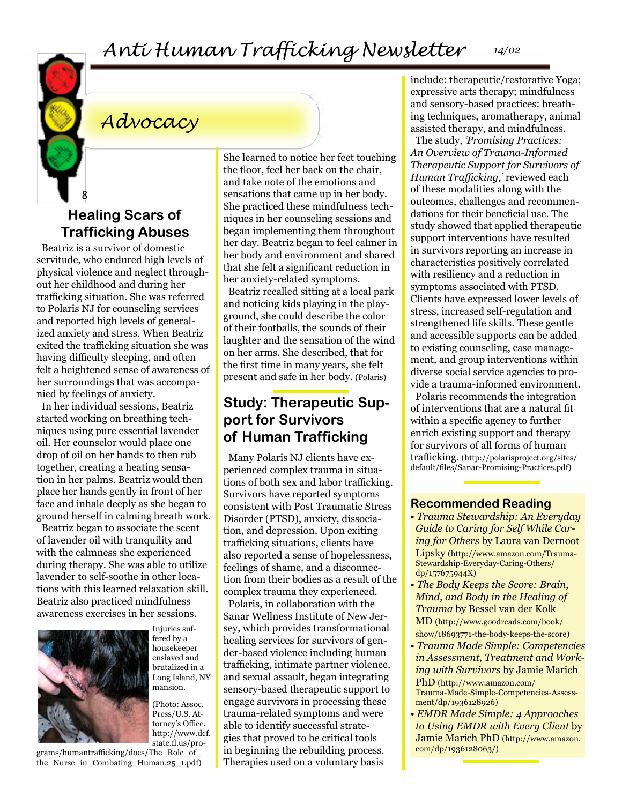# *Anti Human Trafficking Newsletter 14/02*



# *Advocacy*

### **Healing Scars of Trafficking Abuses**

Beatriz is a survivor of domestic servitude, who endured high levels of physical violence and neglect throughout her childhood and during her trafficking situation. She was referred to Polaris NJ for counseling services and reported high levels of generalized anxiety and stress. When Beatriz exited the trafficking situation she was having difficulty sleeping, and often felt a heightened sense of awareness of her surroundings that was accompanied by feelings of anxiety.

In her individual sessions, Beatriz started working on breathing techniques using pure essential lavender oil. Her counselor would place one drop of oil on her hands to then rub together, creating a heating sensation in her palms. Beatriz would then place her hands gently in front of her face and inhale deeply as she began to ground herself in calming breath work.

Beatriz began to associate the scent of lavender oil with tranquility and with the calmness she experienced during therapy. She was able to utilize lavender to self-soothe in other locations with this learned relaxation skill. Beatriz also practiced mindfulness awareness exercises in her sessions.



Injuries suffered by a housekeeper enslaved and brutalized in a Long Island, NY mansion.

(Photo: Assoc. Press/U.S. Attorney's Office. [http://www.dcf.](http://www.dcf.state.fl.us/programs/humantrafficking/docs/The_Role_of_the_Nurse_in_Combating_Human.25_1.pdf) [state.fl.us/pro](http://www.dcf.state.fl.us/programs/humantrafficking/docs/The_Role_of_the_Nurse_in_Combating_Human.25_1.pdf)-

[grams/humantrafficking/docs/The\\_Role\\_of\\_](http://www.dcf.state.fl.us/programs/humantrafficking/docs/The_Role_of_the_Nurse_in_Combating_Human.25_1.pdf) [the\\_Nurse\\_in\\_Combating\\_Human.25\\_1.pdf](http://www.dcf.state.fl.us/programs/humantrafficking/docs/The_Role_of_the_Nurse_in_Combating_Human.25_1.pdf))

She learned to notice her feet touching the floor, feel her back on the chair, and take note of the emotions and sensations that came up in her body. She practiced these mindfulness techniques in her counseling sessions and began implementing them throughout her day. Beatriz began to feel calmer in her body and environment and shared that she felt a significant reduction in her anxiety-related symptoms.

Beatriz recalled sitting at a local park and noticing kids playing in the playground, she could describe the color of their footballs, the sounds of their laughter and the sensation of the wind on her arms. She described, that for the first time in many years, she felt present and safe in her body. (Polaris)

### **Study: Therapeutic Support for Survivors of Human Trafficking**

Many Polaris NJ clients have experienced complex trauma in situations of both sex and labor trafficking. Survivors have reported symptoms consistent with Post Traumatic Stress Disorder (PTSD), anxiety, dissociation, and depression. Upon exiting trafficking situations, clients have also reported a sense of hopelessness, feelings of shame, and a disconnection from their bodies as a result of the complex trauma they experienced.

Polaris, in collaboration with the Sanar Wellness Institute of New Jersey, which provides transformational healing services for survivors of gender-based violence including human trafficking, intimate partner violence, and sexual assault, began integrating sensory-based therapeutic support to engage survivors in processing these trauma-related symptoms and were able to identify successful strategies that proved to be critical tools in beginning the rebuilding process. Therapies used on a voluntary basis

include: therapeutic/restorative Yoga; expressive arts therapy; mindfulness and sensory-based practices: breathing techniques, aromatherapy, animal assisted therapy, and mindfulness.

The study, *'Promising Practices: An Overview of Trauma-Informed Therapeutic Support for Survivors of Human Trafficking,'* reviewed each of these modalities along with the outcomes, challenges and recommendations for their beneficial use. The study showed that applied therapeutic support interventions have resulted in survivors reporting an increase in characteristics positively correlated with resiliency and a reduction in symptoms associated with PTSD. Clients have expressed lower levels of stress, increased self-regulation and strengthened life skills. These gentle and accessible supports can be added to existing counseling, case management, and group interventions within diverse social service agencies to provide a trauma-informed environment.

Polaris recommends the integration of interventions that are a natural fit within a specific agency to further enrich existing support and therapy for survivors of all forms of human trafficking. [\(http://polarisproject.org/sites/](http://polarisproject.org/sites/default/files/Sanar-Promising-Practices.pdf) [default/files/Sanar-Promising-Practices.pdf](http://polarisproject.org/sites/default/files/Sanar-Promising-Practices.pdf))

#### **Recommended Reading**

- *Trauma Stewardship: An Everyday Guide to Caring for Self While Caring for Others* by Laura van Dernoot Lipsky ([http://www.amazon.com/Trauma-](http://www.amazon.com/Trauma-Stewardship-Everyday-Caring-Others/dp/157675944X)[Stewardship-Everyday-Caring-Others/](http://www.amazon.com/Trauma-Stewardship-Everyday-Caring-Others/dp/157675944X) [dp/157675944X](http://www.amazon.com/Trauma-Stewardship-Everyday-Caring-Others/dp/157675944X))
- *The Body Keeps the Score: Brain, Mind, and Body in the Healing of Trauma* by Bessel van der Kolk MD [\(http://www.goodreads.com/book/](http://www.goodreads.com/book/show/18693771-the-body-keeps-the-score) [show/18693771-the-body-keeps-the-score](http://www.goodreads.com/book/show/18693771-the-body-keeps-the-score))
- *Trauma Made Simple: Competencies in Assessment, Treatment and Working with Survivors* by Jamie Marich PhD ([http://www.amazon.com/](http://www.amazon.com/Trauma-Made-Simple-Competencies-Assessment/dp/1936128926) [Trauma-Made-Simple-Competencies-Assess](http://www.amazon.com/Trauma-Made-Simple-Competencies-Assessment/dp/1936128926)[ment/dp/1936128926](http://www.amazon.com/Trauma-Made-Simple-Competencies-Assessment/dp/1936128926))
- *EMDR Made Simple: 4 Approaches to Using EMDR with Every Client* by Jamie Marich PhD ([http://www.amazon.](http://www.amazon.com/dp/1936128063/) [com/dp/1936128063/](http://www.amazon.com/dp/1936128063/))